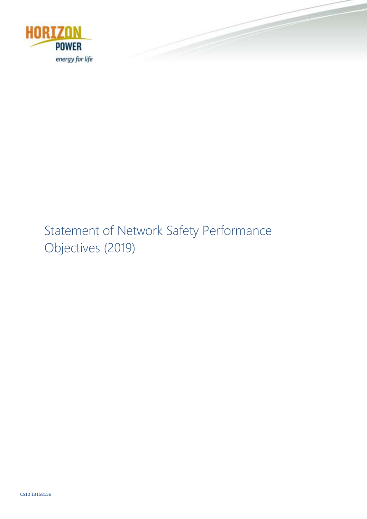

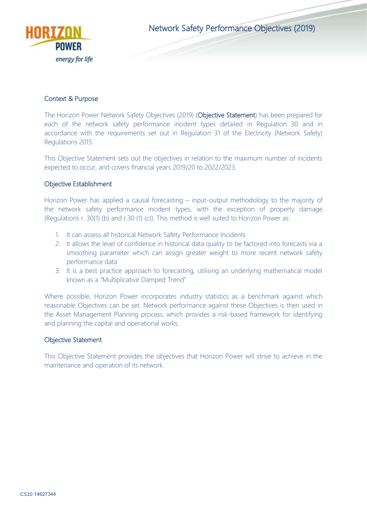

Network Safety Performance Objectives (2019)

## Context & Purpose

The Horizon Power Network Safety Objectives (2019) (Objective Statement) has been prepared for each of the network safety performance incident types detailed in Regulation 30 and in accordance with the requirements set out in Regulation 31 of the Electricity (Network Safety) Regulations 2015.

This Objective Statement sets out the objectives in relation to the maximum number of incidents expected to occur, and covers financial years 2019/20 to 2022/2023.

## Objective Establishment

Horizon Power has applied a causal forecasting – input-output methodology to the majority of the network safety performance incident types, with the exception of property damage (Regulations r. 30(1) (b) and r.30 (1) (c)). This method is well suited to Horizon Power as:

- 1. It can assess all historical Network Safety Performance Incidents
- 2. It allows the level of confidence in historical data quality to be factored into forecasts via a smoothing parameter which can assign greater weight to more recent network safety performance data
- 3. It is a best practice approach to forecasting, utilising an underlying mathematical model known as a "Multiplicative Damped Trend"

Where possible, Horizon Power incorporates industry statistics as a benchmark against which reasonable Objectives can be set. Network performance against these Objectives is then used in the Asset Management Planning process, which provides a risk-based framework for identifying and planning the capital and operational works.

#### Objective Statement

This Objective Statement provides the objectives that Horizon Power will strive to achieve in the maintenance and operation of its network.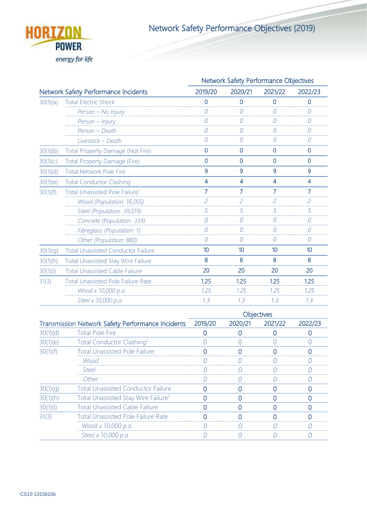

Network Safety Performance Objectives (2019)

|                                      |                                            | Network Safety Performance Objectives |                  |                  |                          |
|--------------------------------------|--------------------------------------------|---------------------------------------|------------------|------------------|--------------------------|
| Network Safety Performance Incidents |                                            | 2019/20                               | 2020/21          | 2021/22          | 2022/23                  |
| 30(1)(a)                             | <b>Total Electric Shock</b>                | $\overline{0}$                        | $\overline{0}$   | $\overline{0}$   | $\overline{0}$           |
|                                      | Person - No Injury                         | 0                                     | 0                | $\Omega$         | 0                        |
|                                      | Person - Injury                            | 0                                     | 0                | $\Omega$         | $\overline{O}$           |
|                                      | Person - Death                             | 0                                     | 0                | $\Omega$         | $\theta$                 |
|                                      | Livestock - Death                          | 0                                     | 0                | $\Omega$         | $\theta$                 |
| 30(1)(b)                             | Total Property Damage (Not Fire)           | $\mathbf 0$                           | $\mathbf 0$      | $\mathbf{0}$     | $\mathbf 0$              |
| 30(1)(c)                             | <b>Total Property Damage (Fire)</b>        | $\overline{0}$                        | $\mathbf{0}$     | $\overline{0}$   | $\overline{0}$           |
| 30(1)(d)                             | <b>Total Network Pole Fire</b>             | 9                                     | 9                | 9                | 9                        |
| 30(1)(e)                             | <b>Total Conductor Clashing</b>            | 4                                     | 4                | 4                | $\overline{\mathcal{A}}$ |
| 30(1)(f)                             | Total Unassisted Pole Failure <sup>1</sup> | $\overline{7}$                        | $\overline{7}$   | $\overline{7}$   | $\overline{7}$           |
|                                      | Wood (Population: 16,055)                  | $\overline{c}$                        | $\overline{c}$   | $\overline{c}$   | $\overline{c}$           |
|                                      | Steel (Population: 39,519)                 | 5                                     | 5                | 5                | 5                        |
|                                      | Concrete (Population: 339)                 | 0                                     | $\overline{O}$   | $\Omega$         | $\theta$                 |
|                                      | Fibreglass (Population: 1)                 | 0                                     | 0                | 0                | $\mathcal O$             |
|                                      | Other (Population: 880)                    | 0                                     | 0                | $\Omega$         | 0                        |
| 30(1)(g)                             | <b>Total Unassisted Conductor Failure</b>  | 10 <sup>10</sup>                      | 10 <sup>10</sup> | 10 <sup>10</sup> | 10                       |
| 30(1)(h)                             | <b>Total Unassisted Stay Wire Failure</b>  | 8                                     | 8                | 8                | 8                        |
| 30(1)(i)                             | <b>Total Unassisted Cable Failure</b>      | 20                                    | 20               | 20               | 20                       |
| 31(3)                                | <b>Total Unassisted Pole Failure Rate</b>  | 1.25                                  | 1.25             | 1.25             | 1.25                     |
|                                      | Wood x 10,000 p.a.                         | 1.25                                  | 7.25             | 1.25             | 7.25                     |
|                                      | Steel x 10,000 p.a.                        | 7.3                                   | 7.3              | 7.3              | 7.3                      |
|                                      |                                            |                                       |                  |                  |                          |

|                                                          |                                                 | <b>Objectives</b> |         |         |         |  |
|----------------------------------------------------------|-------------------------------------------------|-------------------|---------|---------|---------|--|
| <b>Transmission Network Safety Performance Incidents</b> |                                                 | 2019/20           | 2020/21 | 2021/22 | 2022/23 |  |
| 30(1)(d)                                                 | <b>Total Pole Fire</b>                          |                   |         |         |         |  |
| 30(1)(e)                                                 | Total Conductor Clashing <sup>2</sup>           |                   |         |         |         |  |
| 30(1)(f)                                                 | <b>Total Unassisted Pole Failure</b>            |                   |         |         |         |  |
|                                                          | Wood                                            |                   |         |         |         |  |
|                                                          | <b>Steel</b>                                    |                   |         |         |         |  |
|                                                          | Other                                           |                   |         |         |         |  |
| 30(1)(q)                                                 | <b>Total Unassisted Conductor Failure</b>       |                   |         |         |         |  |
| 30(1)(h)                                                 | Total Unassisted Stay Wire Failure <sup>3</sup> |                   |         |         |         |  |
| 30(1)(i)                                                 | <b>Total Unassisted Cable Failure</b>           |                   |         |         |         |  |
| 31(3)                                                    | <b>Total Unassisted Pole Failure Rate</b>       |                   |         |         |         |  |
|                                                          | Wood x 10,000 p.a.                              |                   |         |         |         |  |
|                                                          | Steel x 10,000 p.a.                             |                   |         |         |         |  |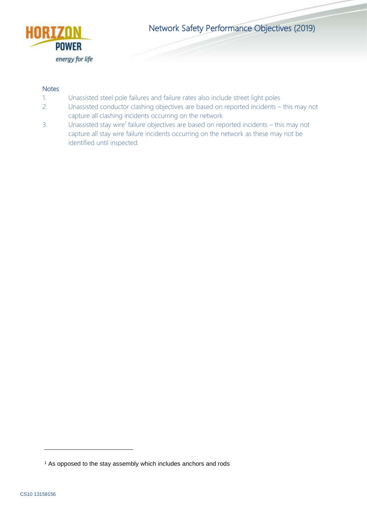

Network Safety Performance Objectives (2019)

## **Notes**

- 1. Unassisted steel pole failures and failure rates also include street light poles
- 2. Unassisted conductor clashing objectives are based on reported incidents this may not capture all clashing incidents occurring on the network
- 3. Unassisted stay wire<sup>1</sup> failure objectives are based on reported incidents this may not capture all stay wire failure incidents occurring on the network as these may not be identified until inspected.

-

<sup>&</sup>lt;sup>1</sup> As opposed to the stay assembly which includes anchors and rods